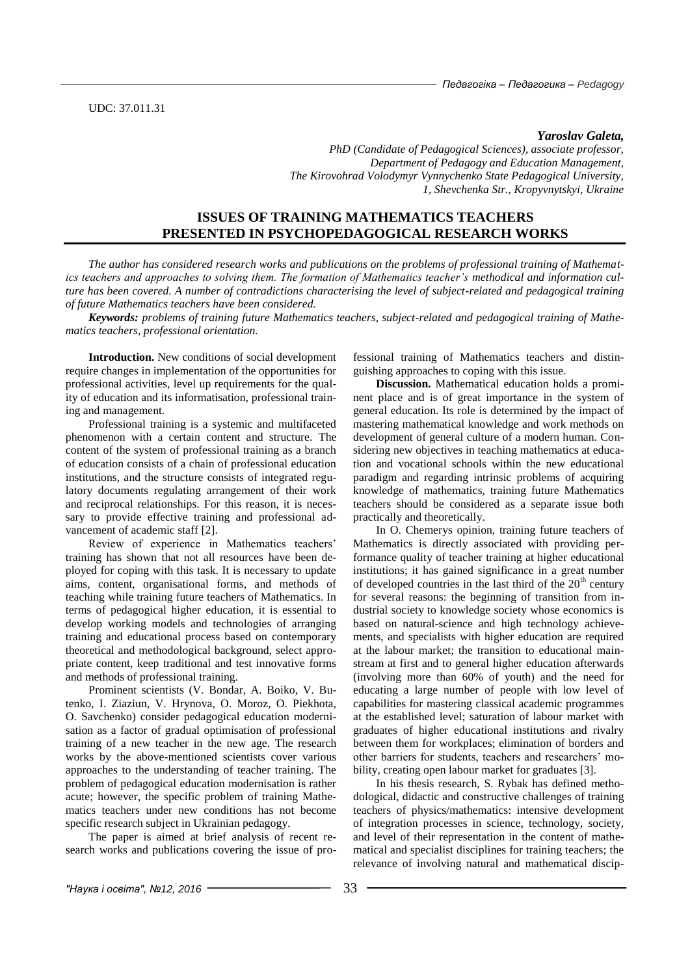*Yaroslav Galeta,*

*PhD (Candidate of Pedagogical Sciences), associate professor, Department of Pedagogy and Education Management, The Kirovohrad Volodymyr Vynnychenko State Pedagogical University, 1, Shevchenka Str., Kropyvnytskyi, Ukraine* 

# **ISSUES OF TRAINING MATHEMATICS TEACHERS PRESENTED IN PSYCHOPEDAGOGICAL RESEARCH WORKS**

*The author has considered research works and publications on the problems of professional training of Mathematics teachers and approaches to solving them. The formation of Mathematics teacher's methodical and information culture has been covered. A number of contradictions characterising the level of subject-related and pedagogical training of future Mathematics teachers have been considered.* 

*Keywords: problems of training future Mathematics teachers, subject-related and pedagogical training of Mathematics teachers, professional orientation.* 

**Introduction.** New conditions of social development require changes in implementation of the opportunities for professional activities, level up requirements for the quality of education and its informatisation, professional training and management.

Professional training is a systemic and multifaceted phenomenon with a certain content and structure. The content of the system of professional training as a branch of education consists of a chain of professional education institutions, and the structure consists of integrated regulatory documents regulating arrangement of their work and reciprocal relationships. For this reason, it is necessary to provide effective training and professional advancement of academic staff [2].

Review of experience in Mathematics teachers' training has shown that not all resources have been deployed for coping with this task. It is necessary to update aims, content, organisational forms, and methods of teaching while training future teachers of Mathematics. In terms of pedagogical higher education, it is essential to develop working models and technologies of arranging training and educational process based on contemporary theoretical and methodological background, select appropriate content, keep traditional and test innovative forms and methods of professional training.

Prominent scientists (V. Bondar, A. Boiko, V. Butenko, I. Ziaziun, V. Hrynova, O. Moroz, O. Piekhota, O. Savchenko) consider pedagogical education modernisation as a factor of gradual optimisation of professional training of a new teacher in the new age. The research works by the above-mentioned scientists cover various approaches to the understanding of teacher training. The problem of pedagogical education modernisation is rather acute; however, the specific problem of training Mathematics teachers under new conditions has not become specific research subject in Ukrainian pedagogy.

The paper is aimed at brief analysis of recent research works and publications covering the issue of pro-

fessional training of Mathematics teachers and distinguishing approaches to coping with this issue.

**Discussion.** Mathematical education holds a prominent place and is of great importance in the system of general education. Its role is determined by the impact of mastering mathematical knowledge and work methods on development of general culture of a modern human. Considering new objectives in teaching mathematics at education and vocational schools within the new educational paradigm and regarding intrinsic problems of acquiring knowledge of mathematics, training future Mathematics teachers should be considered as a separate issue both practically and theoretically.

In O. Chemerys opinion, training future teachers of Mathematics is directly associated with providing performance quality of teacher training at higher educational institutions; it has gained significance in a great number of developed countries in the last third of the  $20<sup>th</sup>$  century for several reasons: the beginning of transition from industrial society to knowledge society whose economics is based on natural-science and high technology achievements, and specialists with higher education are required at the labour market; the transition to educational mainstream at first and to general higher education afterwards (involving more than 60% of youth) and the need for educating a large number of people with low level of capabilities for mastering classical academic programmes at the established level; saturation of labour market with graduates of higher educational institutions and rivalry between them for workplaces; elimination of borders and other barriers for students, teachers and researchers' mobility, creating open labour market for graduates [3].

In his thesis research, S. Rybak has defined methodological, didactic and constructive challenges of training teachers of physics/mathematics: intensive development of integration processes in science, technology, society, and level of their representation in the content of mathematical and specialist disciplines for training teachers; the relevance of involving natural and mathematical discip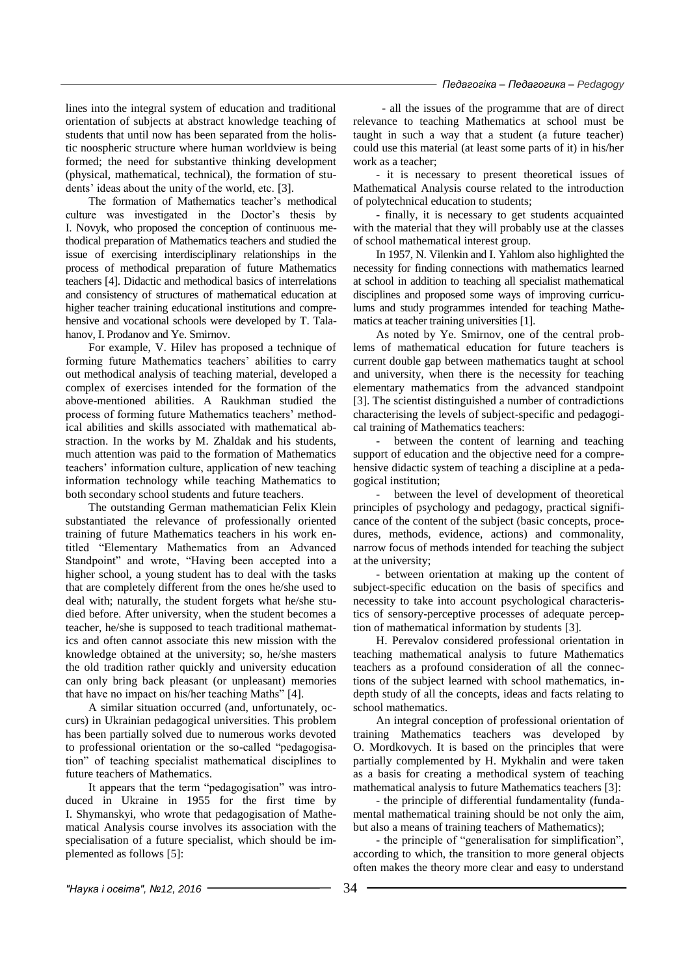lines into the integral system of education and traditional orientation of subjects at abstract knowledge teaching of students that until now has been separated from the holistic noospheric structure where human worldview is being formed; the need for substantive thinking development (physical, mathematical, technical), the formation of students' ideas about the unity of the world, etc. [3].

The formation of Mathematics teacher's methodical culture was investigated in the Doctor's thesis by I. Novyk, who proposed the conception of continuous methodical preparation of Mathematics teachers and studied the issue of exercising interdisciplinary relationships in the process of methodical preparation of future Mathematics teachers [4]. Didactic and methodical basics of interrelations and consistency of structures of mathematical education at higher teacher training educational institutions and comprehensive and vocational schools were developed by T. Talahanov, I. Prodanov and Ye. Smirnov.

For example, V. Hilev has proposed a technique of forming future Mathematics teachers' abilities to carry out methodical analysis of teaching material, developed a complex of exercises intended for the formation of the above-mentioned abilities. A Raukhman studied the process of forming future Mathematics teachers' methodical abilities and skills associated with mathematical abstraction. In the works by M. Zhaldak and his students, much attention was paid to the formation of Mathematics teachers' information culture, application of new teaching information technology while teaching Mathematics to both secondary school students and future teachers.

The outstanding German mathematician Felix Klein substantiated the relevance of professionally oriented training of future Mathematics teachers in his work entitled "Elementary Mathematics from an Advanced Standpoint" and wrote, "Having been accepted into a higher school, a young student has to deal with the tasks that are completely different from the ones he/she used to deal with; naturally, the student forgets what he/she studied before. After university, when the student becomes a teacher, he/she is supposed to teach traditional mathematics and often cannot associate this new mission with the knowledge obtained at the university; so, he/she masters the old tradition rather quickly and university education can only bring back pleasant (or unpleasant) memories that have no impact on his/her teaching Maths" [4].

A similar situation occurred (and, unfortunately, occurs) in Ukrainian pedagogical universities. This problem has been partially solved due to numerous works devoted to professional orientation or the so-called "pedagogisation" of teaching specialist mathematical disciplines to future teachers of Mathematics.

It appears that the term "pedagogisation" was introduced in Ukraine in 1955 for the first time by I. Shymanskyi, who wrote that pedagogisation of Mathematical Analysis course involves its association with the specialisation of a future specialist, which should be implemented as follows [5]:

 - all the issues of the programme that are of direct relevance to teaching Mathematics at school must be taught in such a way that a student (a future teacher) could use this material (at least some parts of it) in his/her work as a teacher;

- it is necessary to present theoretical issues of Mathematical Analysis course related to the introduction of polytechnical education to students;

- finally, it is necessary to get students acquainted with the material that they will probably use at the classes of school mathematical interest group.

In 1957, N. Vilenkin and I. Yahlom also highlighted the necessity for finding connections with mathematics learned at school in addition to teaching all specialist mathematical disciplines and proposed some ways of improving curriculums and study programmes intended for teaching Mathematics at teacher training universities [1].

As noted by Ye. Smirnov, one of the central problems of mathematical education for future teachers is current double gap between mathematics taught at school and university, when there is the necessity for teaching elementary mathematics from the advanced standpoint [3]. The scientist distinguished a number of contradictions characterising the levels of subject-specific and pedagogical training of Mathematics teachers:

- between the content of learning and teaching support of education and the objective need for a comprehensive didactic system of teaching a discipline at a pedagogical institution;

- between the level of development of theoretical principles of psychology and pedagogy, practical significance of the content of the subject (basic concepts, procedures, methods, evidence, actions) and commonality, narrow focus of methods intended for teaching the subject at the university;

- between orientation at making up the content of subject-specific education on the basis of specifics and necessity to take into account psychological characteristics of sensory-perceptive processes of adequate perception of mathematical information by students [3].

H. Perevalov considered professional orientation in teaching mathematical analysis to future Mathematics teachers as a profound consideration of all the connections of the subject learned with school mathematics, indepth study of all the concepts, ideas and facts relating to school mathematics.

An integral conception of professional orientation of training Mathematics teachers was developed by O. Mordkovych. It is based on the principles that were partially complemented by H. Mykhalin and were taken as a basis for creating a methodical system of teaching mathematical analysis to future Mathematics teachers [3]:

- the principle of differential fundamentality (fundamental mathematical training should be not only the aim, but also a means of training teachers of Mathematics);

- the principle of "generalisation for simplification", according to which, the transition to more general objects often makes the theory more clear and easy to understand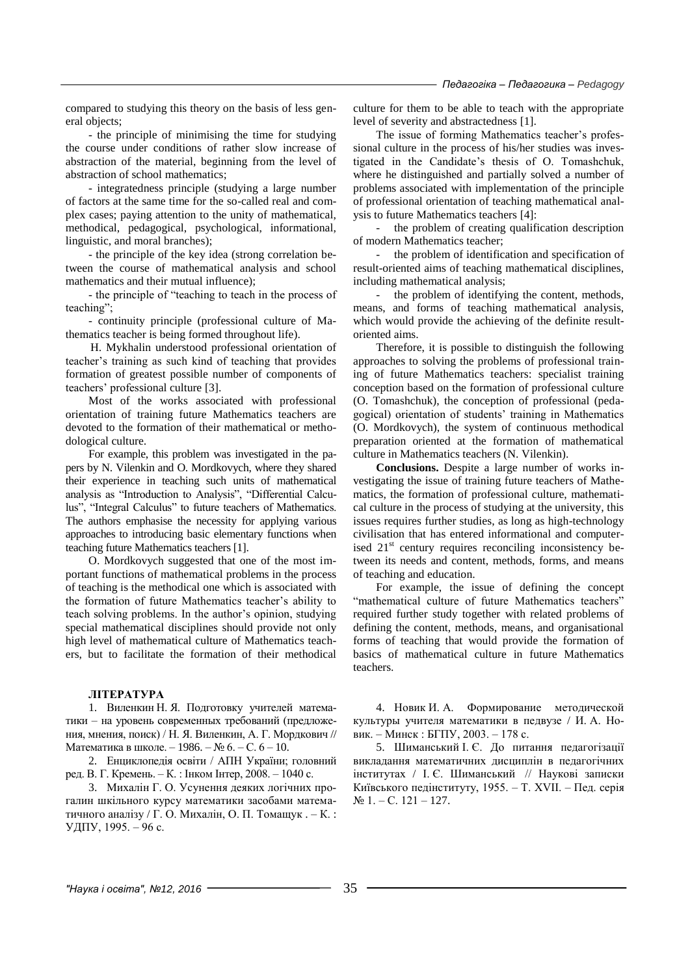compared to studying this theory on the basis of less general objects;

- the principle of minimising the time for studying the course under conditions of rather slow increase of abstraction of the material, beginning from the level of abstraction of school mathematics;

- integratedness principle (studying a large number of factors at the same time for the so-called real and complex cases; paying attention to the unity of mathematical, methodical, pedagogical, psychological, informational, linguistic, and moral branches);

- the principle of the key idea (strong correlation between the course of mathematical analysis and school mathematics and their mutual influence);

- the principle of "teaching to teach in the process of teaching";

- continuity principle (professional culture of Mathematics teacher is being formed throughout life).

H. Mykhalin understood professional orientation of teacher's training as such kind of teaching that provides formation of greatest possible number of components of teachers' professional culture [3].

Most of the works associated with professional orientation of training future Mathematics teachers are devoted to the formation of their mathematical or methodological culture.

For example, this problem was investigated in the papers by N. Vilenkin and O. Mordkovych, where they shared their experience in teaching such units of mathematical analysis as "Introduction to Analysis", "Differential Calculus", "Integral Calculus" to future teachers of Mathematics. The authors emphasise the necessity for applying various approaches to introducing basic elementary functions when teaching future Mathematics teachers [1].

O. Mordkovych suggested that one of the most important functions of mathematical problems in the process of teaching is the methodical one which is associated with the formation of future Mathematics teacher's ability to teach solving problems. In the author's opinion, studying special mathematical disciplines should provide not only high level of mathematical culture of Mathematics teachers, but to facilitate the formation of their methodical

### **ЛІТЕРАТУРА**

1. Виленкин Н. Я. Подготовку учителей математики – на уровень современных требований (предложения, мнения, поиск) / Н. Я. Виленкин, А. Г. Мордкович // Математика в школе. – 1986. – № 6. – С. 6 – 10.

2. Енциклопедія освіти / АПН України; головний ред. В. Г. Кремень. – К. : Інком Інтер, 2008. – 1040 с.

3. Михалін Г. О. Усунення деяких логічних прогалин шкільного курсу математики засобами математичного аналізу / Г. О. Михалін, О. П. Томащук . – К. : УДПУ, 1995. – 96 с.

culture for them to be able to teach with the appropriate level of severity and abstractedness [1].

The issue of forming Mathematics teacher's professional culture in the process of his/her studies was investigated in the Candidate's thesis of O. Tomashchuk, where he distinguished and partially solved a number of problems associated with implementation of the principle of professional orientation of teaching mathematical analysis to future Mathematics teachers [4]:

the problem of creating qualification description of modern Mathematics teacher;

the problem of identification and specification of result-oriented aims of teaching mathematical disciplines, including mathematical analysis;

- the problem of identifying the content, methods, means, and forms of teaching mathematical analysis, which would provide the achieving of the definite resultoriented aims.

Therefore, it is possible to distinguish the following approaches to solving the problems of professional training of future Mathematics teachers: specialist training conception based on the formation of professional culture (O. Tomashchuk), the conception of professional (pedagogical) orientation of students' training in Mathematics (O. Mordkovych), the system of continuous methodical preparation oriented at the formation of mathematical culture in Mathematics teachers (N. Vilenkin).

**Conclusions.** Despite a large number of works investigating the issue of training future teachers of Mathematics, the formation of professional culture, mathematical culture in the process of studying at the university, this issues requires further studies, as long as high-technology civilisation that has entered informational and computerised  $21<sup>st</sup>$  century requires reconciling inconsistency between its needs and content, methods, forms, and means of teaching and education.

For example, the issue of defining the concept "mathematical culture of future Mathematics teachers" required further study together with related problems of defining the content, methods, means, and organisational forms of teaching that would provide the formation of basics of mathematical culture in future Mathematics teachers.

4. Новик И. А. Формирование методической культуры учителя математики в педвузе / И. А. Новик. – Минск : БГПУ, 2003. – 178 с.

5. Шиманський І. Є. До питання педагогізації викладання математичних дисциплін в педагогічних інститутах / І. Є. Шиманський // Наукові записки Київського педінституту, 1955. – Т. XVII. – Пед. серія  $N<sub>2</sub> 1. - C. 121 - 127.$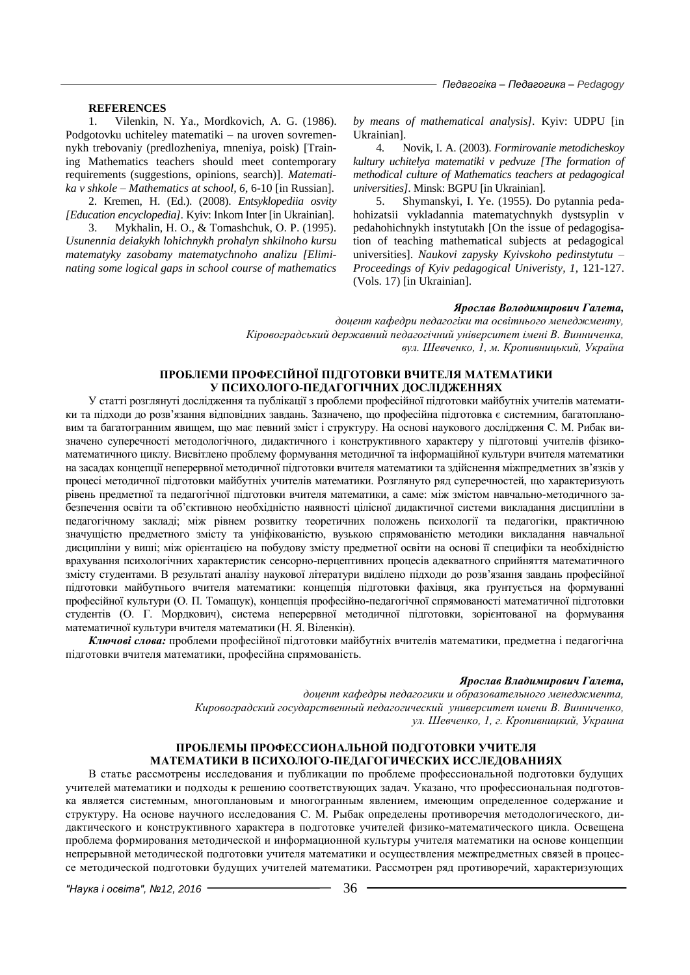## **REFERENCES**

1. Vilenkin, N. Ya., Mordkovich, A. G. (1986). Podgotovku uchiteley matematiki – na uroven sovremennykh trebovaniy (predlozheniya, mneniya, poisk) [Training Mathematics teachers should meet contemporary requirements (suggestions, opinions, search)]. *Matematika v shkole – Mathematics at school, 6,* 6-10 [in Russian].

2. Kremen, H. (Ed.). (2008). *Entsyklopediia osvity [Education encyclopedia].* Kyiv: Inkom Inter [in Ukrainian].

3. Mykhalin, H. O., & Tomashchuk, O. P. (1995). *Usunennia deiakykh lohichnykh prohalyn shkilnoho kursu matematyky zasobamy matematychnoho analizu [Eliminating some logical gaps in school course of mathematics*  *by means of mathematical analysis].* Kyiv: UDPU [in Ukrainian].

4. Novik, I. A. (2003). *Formirovanie metodicheskoy kultury uchitelya matematiki v pedvuze [The formation of methodical culture of Mathematics teachers at pedagogical universities].* Minsk: BGPU [in Ukrainian].

5. Shymanskyi, I. Ye. (1955). Do pytannia pedahohizatsii vykladannia matematychnykh dystsyplin v pedahohichnykh instytutakh [On the issue of pedagogisation of teaching mathematical subjects at pedagogical universities]. *Naukovi zapysky Kyivskoho pedinstytutu – Proceedings of Kyiv pedagogical Univeristy, 1,* 121-127. (Vols. 17) [in Ukrainian].

#### *Ярослав Володимирович Галета,*

*доцент кафедри педагогіки та освітнього менеджменту, Кіровоградський державний педагогічний університет імені В. Винниченка, вул. Шевченко, 1, м. Кропивницький, Україна*

# **ПРОБЛЕМИ ПРОФЕСІЙНОЇ ПІДГОТОВКИ ВЧИТЕЛЯ МАТЕМАТИКИ У ПСИХОЛОГО-ПЕДАГОГІЧНИХ ДОСЛІДЖЕННЯХ**

У статті розглянуті дослідження та публікації з проблеми професійної підготовки майбутніх учителів математики та підходи до розв'язання відповідних завдань. Зазначено, що професійна підготовка є системним, багатоплановим та багатогранним явищем, що має певний зміст і структуру. На основі наукового дослідження С. М. Рибак визначено суперечності методологічного, дидактичного і конструктивного характеру у підготовці учителів фізикоматематичного циклу. Висвітлено проблему формування методичної та інформаційної культури вчителя математики на засадах концепції неперервної методичної підготовки вчителя математики та здійснення міжпредметних зв'язків у процесі методичної підготовки майбутніх учителів математики. Розглянуто ряд суперечностей, що характеризують рівень предметної та педагогічної підготовки вчителя математики, а саме: між змістом навчально-методичного забезпечення освіти та об'єктивною необхідністю наявності цілісної дидактичної системи викладання дисципліни в педагогічному закладі; між рівнем розвитку теоретичних положень психології та педагогіки, практичною значущістю предметного змісту та уніфікованістю, вузькою спрямованістю методики викладання навчальної дисципліни у виші; між орієнтацією на побудову змісту предметної освіти на основі її специфіки та необхідністю врахування психологічних характеристик сенсорно-перцептивних процесів адекватного сприйняття математичного змісту студентами. В результаті аналізу наукової літератури виділено підходи до розв'язання завдань професійної підготовки майбутнього вчителя математики: концепція підготовки фахівця, яка ґрунтується на формуванні професійної культури (О. П. Томащук), концепція професійно-педагогічної спрямованості математичної підготовки студентів (О. Г. Мордкович), система неперервної методичної підготовки, зорієнтованої на формування математичної культури вчителя математики (Н. Я. Віленкін).

*Ключові слова:* проблеми професійної підготовки майбутніх вчителів математики, предметна і педагогічна підготовки вчителя математики, професійна спрямованість.

#### *Ярослав Владимирович Галета,*

*доцент кафедры педагогики и образовательного менеджмента, Кировоградский государственный педагогический университет имени В. Винниченко, ул. Шевченко, 1, г. Кропивницкий, Украина*

## **ПРОБЛЕМЫ ПРОФЕССИОНАЛЬНОЙ ПОДГОТОВКИ УЧИТЕЛЯ МАТЕМАТИКИ В ПСИХОЛОГО-ПЕДАГОГИЧЕСКИХ ИССЛЕДОВАНИЯХ**

В статье рассмотрены исследования и публикации по проблеме профессиональной подготовки будущих учителей математики и подходы к решению соответствующих задач. Указано, что профессиональная подготовка является системным, многоплановым и многогранным явлением, имеющим определенное содержание и структуру. На основе научного исследования С. М. Рыбак определены противоречия методологического, дидактического и конструктивного характера в подготовке учителей физико-математического цикла. Освещена проблема формирования методической и информационной культуры учителя математики на основе концепции непрерывной методической подготовки учителя математики и осуществления межпредметных связей в процессе методической подготовки будущих учителей математики. Рассмотрен ряд противоречий, характеризующих

*"Наука і освіта", №12, 2016* 36